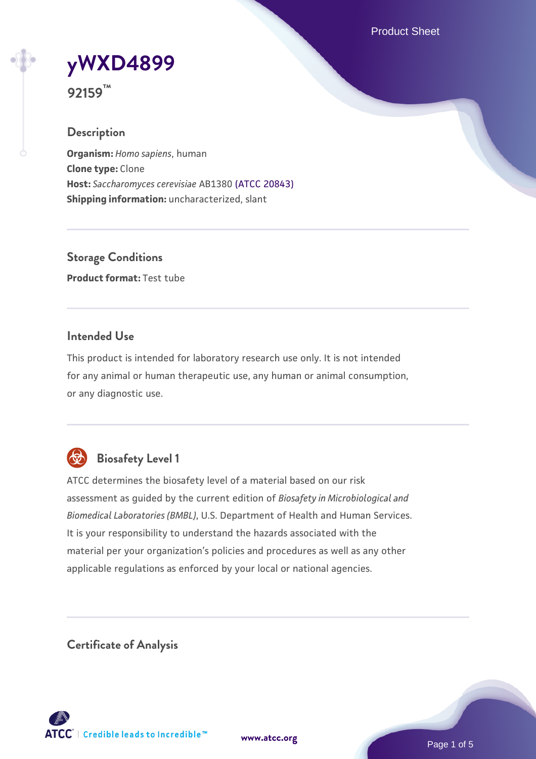Product Sheet



**92159™**

# **Description**

**Organism:** *Homo sapiens*, human **Clone type:** Clone **Host:** *Saccharomyces cerevisiae* AB1380 [\(ATCC 20843\)](https://www.atcc.org/products/20843) **Shipping information:** uncharacterized, slant

**Storage Conditions Product format:** Test tube

# **Intended Use**

This product is intended for laboratory research use only. It is not intended for any animal or human therapeutic use, any human or animal consumption, or any diagnostic use.



# **Biosafety Level 1**

ATCC determines the biosafety level of a material based on our risk assessment as guided by the current edition of *Biosafety in Microbiological and Biomedical Laboratories (BMBL)*, U.S. Department of Health and Human Services. It is your responsibility to understand the hazards associated with the material per your organization's policies and procedures as well as any other applicable regulations as enforced by your local or national agencies.

**Certificate of Analysis**

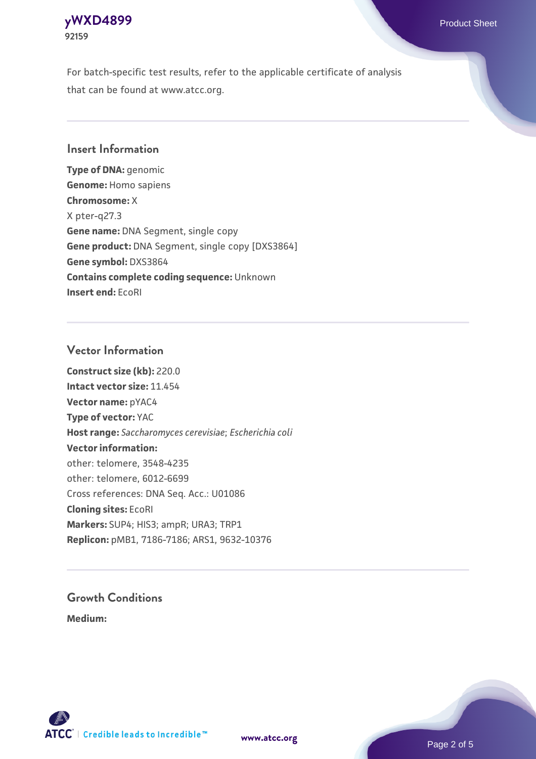### **[yWXD4899](https://www.atcc.org/products/92159)** Product Sheet **92159**

For batch-specific test results, refer to the applicable certificate of analysis that can be found at www.atcc.org.

# **Insert Information**

**Type of DNA:** genomic **Genome:** Homo sapiens **Chromosome:** X X pter-q27.3 **Gene name:** DNA Segment, single copy **Gene product:** DNA Segment, single copy [DXS3864] **Gene symbol:** DXS3864 **Contains complete coding sequence:** Unknown **Insert end:** EcoRI

# **Vector Information**

**Construct size (kb):** 220.0 **Intact vector size:** 11.454 **Vector name:** pYAC4 **Type of vector:** YAC **Host range:** *Saccharomyces cerevisiae*; *Escherichia coli* **Vector information:** other: telomere, 3548-4235 other: telomere, 6012-6699 Cross references: DNA Seq. Acc.: U01086 **Cloning sites:** EcoRI **Markers:** SUP4; HIS3; ampR; URA3; TRP1 **Replicon:** pMB1, 7186-7186; ARS1, 9632-10376

# **Growth Conditions**

**Medium:** 



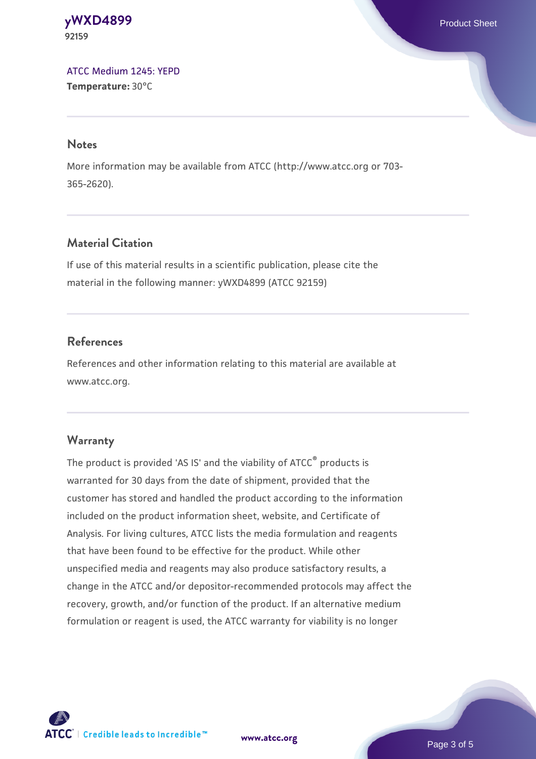**[yWXD4899](https://www.atcc.org/products/92159)** Product Sheet **92159**

[ATCC Medium 1245: YEPD](https://www.atcc.org/-/media/product-assets/documents/microbial-media-formulations/1/2/4/5/atcc-medium-1245.pdf?rev=705ca55d1b6f490a808a965d5c072196) **Temperature:** 30°C

#### **Notes**

More information may be available from ATCC (http://www.atcc.org or 703- 365-2620).

# **Material Citation**

If use of this material results in a scientific publication, please cite the material in the following manner: yWXD4899 (ATCC 92159)

# **References**

References and other information relating to this material are available at www.atcc.org.

#### **Warranty**

The product is provided 'AS IS' and the viability of ATCC® products is warranted for 30 days from the date of shipment, provided that the customer has stored and handled the product according to the information included on the product information sheet, website, and Certificate of Analysis. For living cultures, ATCC lists the media formulation and reagents that have been found to be effective for the product. While other unspecified media and reagents may also produce satisfactory results, a change in the ATCC and/or depositor-recommended protocols may affect the recovery, growth, and/or function of the product. If an alternative medium formulation or reagent is used, the ATCC warranty for viability is no longer



**[www.atcc.org](http://www.atcc.org)**

Page 3 of 5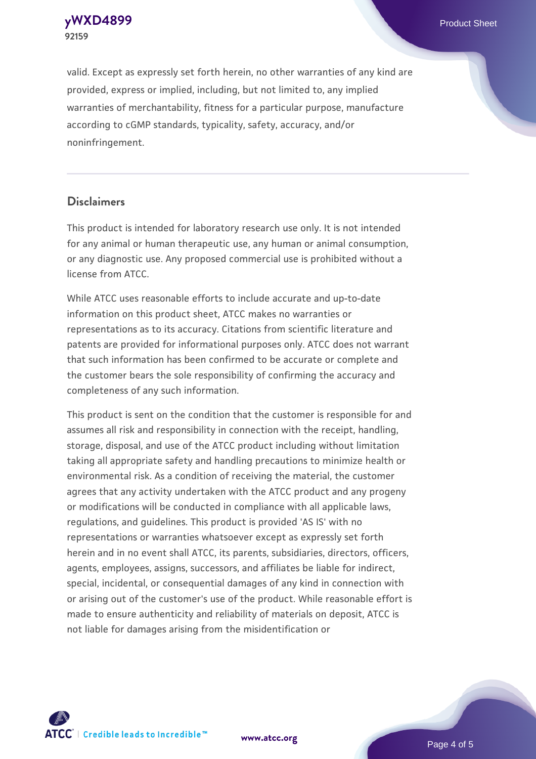**[yWXD4899](https://www.atcc.org/products/92159)** Product Sheet **92159**

valid. Except as expressly set forth herein, no other warranties of any kind are provided, express or implied, including, but not limited to, any implied warranties of merchantability, fitness for a particular purpose, manufacture according to cGMP standards, typicality, safety, accuracy, and/or noninfringement.

#### **Disclaimers**

This product is intended for laboratory research use only. It is not intended for any animal or human therapeutic use, any human or animal consumption, or any diagnostic use. Any proposed commercial use is prohibited without a license from ATCC.

While ATCC uses reasonable efforts to include accurate and up-to-date information on this product sheet, ATCC makes no warranties or representations as to its accuracy. Citations from scientific literature and patents are provided for informational purposes only. ATCC does not warrant that such information has been confirmed to be accurate or complete and the customer bears the sole responsibility of confirming the accuracy and completeness of any such information.

This product is sent on the condition that the customer is responsible for and assumes all risk and responsibility in connection with the receipt, handling, storage, disposal, and use of the ATCC product including without limitation taking all appropriate safety and handling precautions to minimize health or environmental risk. As a condition of receiving the material, the customer agrees that any activity undertaken with the ATCC product and any progeny or modifications will be conducted in compliance with all applicable laws, regulations, and guidelines. This product is provided 'AS IS' with no representations or warranties whatsoever except as expressly set forth herein and in no event shall ATCC, its parents, subsidiaries, directors, officers, agents, employees, assigns, successors, and affiliates be liable for indirect, special, incidental, or consequential damages of any kind in connection with or arising out of the customer's use of the product. While reasonable effort is made to ensure authenticity and reliability of materials on deposit, ATCC is not liable for damages arising from the misidentification or



**[www.atcc.org](http://www.atcc.org)**

Page 4 of 5